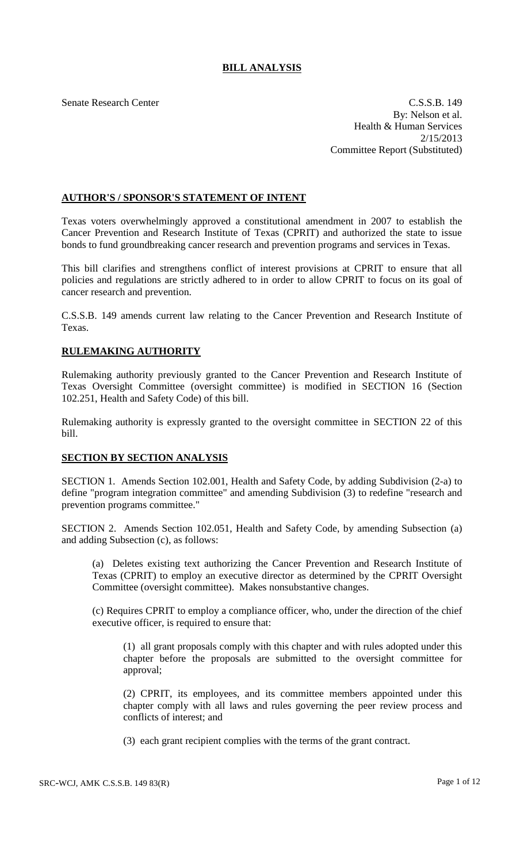## **BILL ANALYSIS**

Senate Research Center C.S.S.B. 149 By: Nelson et al. Health & Human Services 2/15/2013 Committee Report (Substituted)

## **AUTHOR'S / SPONSOR'S STATEMENT OF INTENT**

Texas voters overwhelmingly approved a constitutional amendment in 2007 to establish the Cancer Prevention and Research Institute of Texas (CPRIT) and authorized the state to issue bonds to fund groundbreaking cancer research and prevention programs and services in Texas.

This bill clarifies and strengthens conflict of interest provisions at CPRIT to ensure that all policies and regulations are strictly adhered to in order to allow CPRIT to focus on its goal of cancer research and prevention.

C.S.S.B. 149 amends current law relating to the Cancer Prevention and Research Institute of Texas.

## **RULEMAKING AUTHORITY**

Rulemaking authority previously granted to the Cancer Prevention and Research Institute of Texas Oversight Committee (oversight committee) is modified in SECTION 16 (Section 102.251, Health and Safety Code) of this bill.

Rulemaking authority is expressly granted to the oversight committee in SECTION 22 of this bill.

## **SECTION BY SECTION ANALYSIS**

SECTION 1. Amends Section 102.001, Health and Safety Code, by adding Subdivision (2-a) to define "program integration committee" and amending Subdivision (3) to redefine "research and prevention programs committee."

SECTION 2. Amends Section 102.051, Health and Safety Code, by amending Subsection (a) and adding Subsection (c), as follows:

(a) Deletes existing text authorizing the Cancer Prevention and Research Institute of Texas (CPRIT) to employ an executive director as determined by the CPRIT Oversight Committee (oversight committee). Makes nonsubstantive changes.

(c) Requires CPRIT to employ a compliance officer, who, under the direction of the chief executive officer, is required to ensure that:

(1) all grant proposals comply with this chapter and with rules adopted under this chapter before the proposals are submitted to the oversight committee for approval;

(2) CPRIT, its employees, and its committee members appointed under this chapter comply with all laws and rules governing the peer review process and conflicts of interest; and

(3) each grant recipient complies with the terms of the grant contract.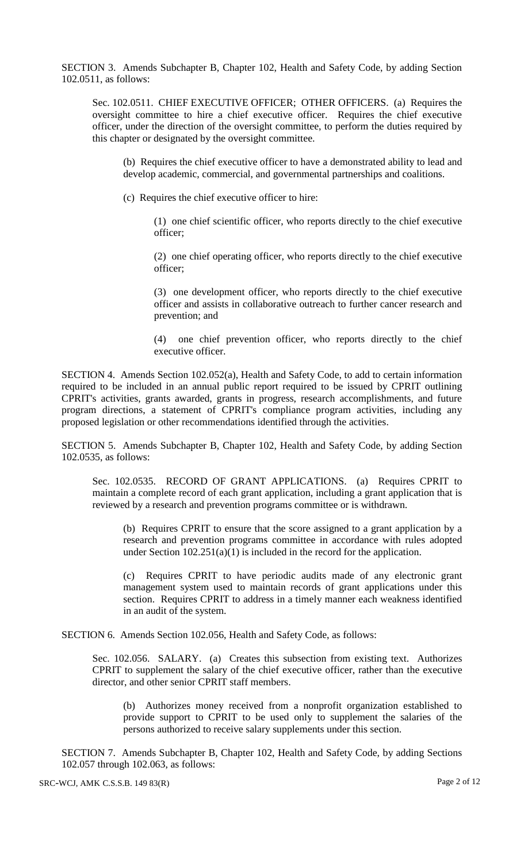SECTION 3. Amends Subchapter B, Chapter 102, Health and Safety Code, by adding Section 102.0511, as follows:

Sec. 102.0511. CHIEF EXECUTIVE OFFICER; OTHER OFFICERS. (a) Requires the oversight committee to hire a chief executive officer. Requires the chief executive officer, under the direction of the oversight committee, to perform the duties required by this chapter or designated by the oversight committee.

(b) Requires the chief executive officer to have a demonstrated ability to lead and develop academic, commercial, and governmental partnerships and coalitions.

(c) Requires the chief executive officer to hire:

(1) one chief scientific officer, who reports directly to the chief executive officer;

(2) one chief operating officer, who reports directly to the chief executive officer;

(3) one development officer, who reports directly to the chief executive officer and assists in collaborative outreach to further cancer research and prevention; and

(4) one chief prevention officer, who reports directly to the chief executive officer.

SECTION 4. Amends Section 102.052(a), Health and Safety Code, to add to certain information required to be included in an annual public report required to be issued by CPRIT outlining CPRIT's activities, grants awarded, grants in progress, research accomplishments, and future program directions, a statement of CPRIT's compliance program activities, including any proposed legislation or other recommendations identified through the activities.

SECTION 5. Amends Subchapter B, Chapter 102, Health and Safety Code, by adding Section 102.0535, as follows:

Sec. 102.0535. RECORD OF GRANT APPLICATIONS. (a) Requires CPRIT to maintain a complete record of each grant application, including a grant application that is reviewed by a research and prevention programs committee or is withdrawn.

(b) Requires CPRIT to ensure that the score assigned to a grant application by a research and prevention programs committee in accordance with rules adopted under Section 102.251(a)(1) is included in the record for the application.

(c) Requires CPRIT to have periodic audits made of any electronic grant management system used to maintain records of grant applications under this section. Requires CPRIT to address in a timely manner each weakness identified in an audit of the system.

SECTION 6. Amends Section 102.056, Health and Safety Code, as follows:

Sec. 102.056. SALARY. (a) Creates this subsection from existing text. Authorizes CPRIT to supplement the salary of the chief executive officer, rather than the executive director, and other senior CPRIT staff members.

(b) Authorizes money received from a nonprofit organization established to provide support to CPRIT to be used only to supplement the salaries of the persons authorized to receive salary supplements under this section.

SECTION 7. Amends Subchapter B, Chapter 102, Health and Safety Code, by adding Sections 102.057 through 102.063, as follows: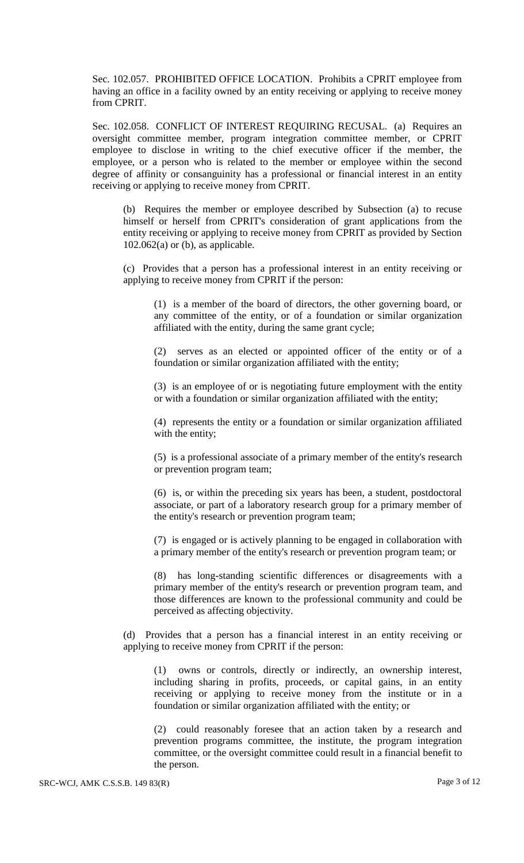Sec. 102.057. PROHIBITED OFFICE LOCATION. Prohibits a CPRIT employee from having an office in a facility owned by an entity receiving or applying to receive money from CPRIT.

Sec. 102.058. CONFLICT OF INTEREST REQUIRING RECUSAL. (a) Requires an oversight committee member, program integration committee member, or CPRIT employee to disclose in writing to the chief executive officer if the member, the employee, or a person who is related to the member or employee within the second degree of affinity or consanguinity has a professional or financial interest in an entity receiving or applying to receive money from CPRIT.

(b) Requires the member or employee described by Subsection (a) to recuse himself or herself from CPRIT's consideration of grant applications from the entity receiving or applying to receive money from CPRIT as provided by Section  $102.062(a)$  or (b), as applicable.

(c) Provides that a person has a professional interest in an entity receiving or applying to receive money from CPRIT if the person:

(1) is a member of the board of directors, the other governing board, or any committee of the entity, or of a foundation or similar organization affiliated with the entity, during the same grant cycle;

(2) serves as an elected or appointed officer of the entity or of a foundation or similar organization affiliated with the entity;

(3) is an employee of or is negotiating future employment with the entity or with a foundation or similar organization affiliated with the entity;

(4) represents the entity or a foundation or similar organization affiliated with the entity;

(5) is a professional associate of a primary member of the entity's research or prevention program team;

(6) is, or within the preceding six years has been, a student, postdoctoral associate, or part of a laboratory research group for a primary member of the entity's research or prevention program team;

(7) is engaged or is actively planning to be engaged in collaboration with a primary member of the entity's research or prevention program team; or

(8) has long-standing scientific differences or disagreements with a primary member of the entity's research or prevention program team, and those differences are known to the professional community and could be perceived as affecting objectivity.

(d) Provides that a person has a financial interest in an entity receiving or applying to receive money from CPRIT if the person:

(1) owns or controls, directly or indirectly, an ownership interest, including sharing in profits, proceeds, or capital gains, in an entity receiving or applying to receive money from the institute or in a foundation or similar organization affiliated with the entity; or

(2) could reasonably foresee that an action taken by a research and prevention programs committee, the institute, the program integration committee, or the oversight committee could result in a financial benefit to the person.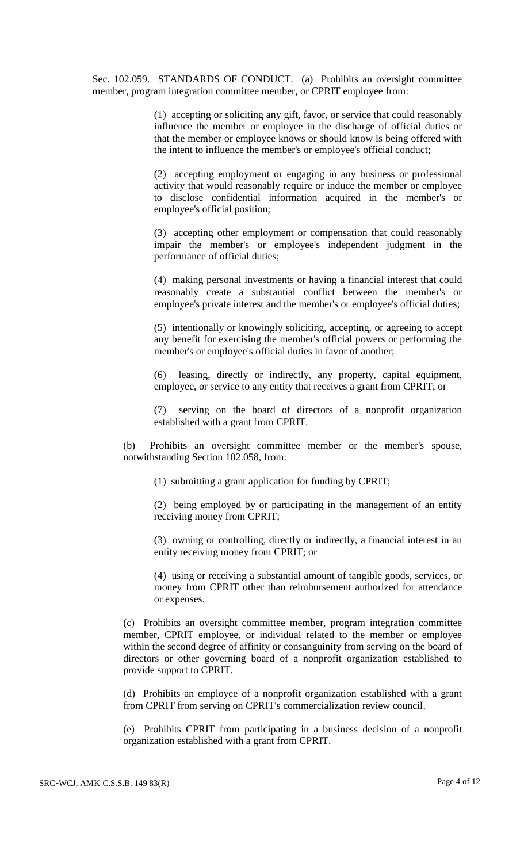Sec. 102.059. STANDARDS OF CONDUCT. (a) Prohibits an oversight committee member, program integration committee member, or CPRIT employee from:

> (1) accepting or soliciting any gift, favor, or service that could reasonably influence the member or employee in the discharge of official duties or that the member or employee knows or should know is being offered with the intent to influence the member's or employee's official conduct;

> (2) accepting employment or engaging in any business or professional activity that would reasonably require or induce the member or employee to disclose confidential information acquired in the member's or employee's official position;

> (3) accepting other employment or compensation that could reasonably impair the member's or employee's independent judgment in the performance of official duties;

> (4) making personal investments or having a financial interest that could reasonably create a substantial conflict between the member's or employee's private interest and the member's or employee's official duties;

> (5) intentionally or knowingly soliciting, accepting, or agreeing to accept any benefit for exercising the member's official powers or performing the member's or employee's official duties in favor of another;

> (6) leasing, directly or indirectly, any property, capital equipment, employee, or service to any entity that receives a grant from CPRIT; or

> (7) serving on the board of directors of a nonprofit organization established with a grant from CPRIT.

(b) Prohibits an oversight committee member or the member's spouse, notwithstanding Section 102.058, from:

(1) submitting a grant application for funding by CPRIT;

(2) being employed by or participating in the management of an entity receiving money from CPRIT;

(3) owning or controlling, directly or indirectly, a financial interest in an entity receiving money from CPRIT; or

(4) using or receiving a substantial amount of tangible goods, services, or money from CPRIT other than reimbursement authorized for attendance or expenses.

(c) Prohibits an oversight committee member, program integration committee member, CPRIT employee, or individual related to the member or employee within the second degree of affinity or consanguinity from serving on the board of directors or other governing board of a nonprofit organization established to provide support to CPRIT.

(d) Prohibits an employee of a nonprofit organization established with a grant from CPRIT from serving on CPRIT's commercialization review council.

(e) Prohibits CPRIT from participating in a business decision of a nonprofit organization established with a grant from CPRIT.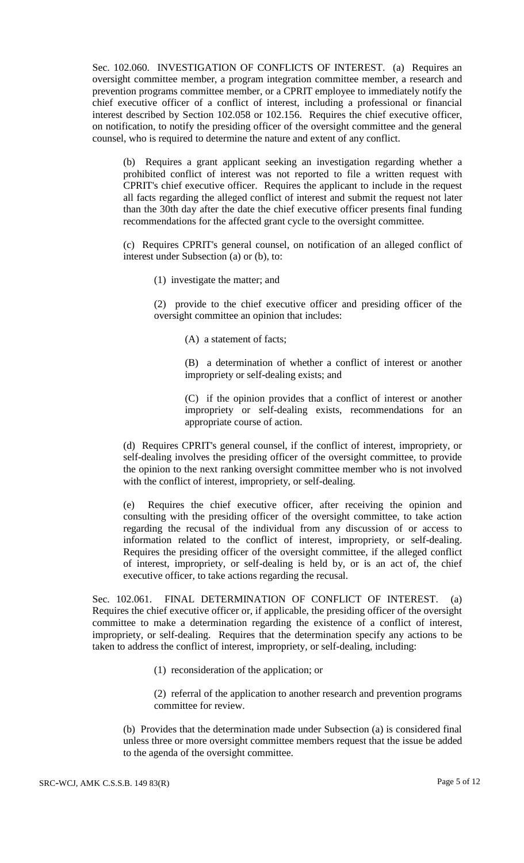Sec. 102.060. INVESTIGATION OF CONFLICTS OF INTEREST. (a) Requires an oversight committee member, a program integration committee member, a research and prevention programs committee member, or a CPRIT employee to immediately notify the chief executive officer of a conflict of interest, including a professional or financial interest described by Section 102.058 or 102.156. Requires the chief executive officer, on notification, to notify the presiding officer of the oversight committee and the general counsel, who is required to determine the nature and extent of any conflict.

(b) Requires a grant applicant seeking an investigation regarding whether a prohibited conflict of interest was not reported to file a written request with CPRIT's chief executive officer. Requires the applicant to include in the request all facts regarding the alleged conflict of interest and submit the request not later than the 30th day after the date the chief executive officer presents final funding recommendations for the affected grant cycle to the oversight committee.

(c) Requires CPRIT's general counsel, on notification of an alleged conflict of interest under Subsection (a) or (b), to:

(1) investigate the matter; and

(2) provide to the chief executive officer and presiding officer of the oversight committee an opinion that includes:

(A) a statement of facts;

(B) a determination of whether a conflict of interest or another impropriety or self-dealing exists; and

(C) if the opinion provides that a conflict of interest or another impropriety or self-dealing exists, recommendations for an appropriate course of action.

(d) Requires CPRIT's general counsel, if the conflict of interest, impropriety, or self-dealing involves the presiding officer of the oversight committee, to provide the opinion to the next ranking oversight committee member who is not involved with the conflict of interest, impropriety, or self-dealing.

(e) Requires the chief executive officer, after receiving the opinion and consulting with the presiding officer of the oversight committee, to take action regarding the recusal of the individual from any discussion of or access to information related to the conflict of interest, impropriety, or self-dealing. Requires the presiding officer of the oversight committee, if the alleged conflict of interest, impropriety, or self-dealing is held by, or is an act of, the chief executive officer, to take actions regarding the recusal.

Sec. 102.061. FINAL DETERMINATION OF CONFLICT OF INTEREST. (a) Requires the chief executive officer or, if applicable, the presiding officer of the oversight committee to make a determination regarding the existence of a conflict of interest, impropriety, or self-dealing. Requires that the determination specify any actions to be taken to address the conflict of interest, impropriety, or self-dealing, including:

(1) reconsideration of the application; or

(2) referral of the application to another research and prevention programs committee for review.

(b) Provides that the determination made under Subsection (a) is considered final unless three or more oversight committee members request that the issue be added to the agenda of the oversight committee.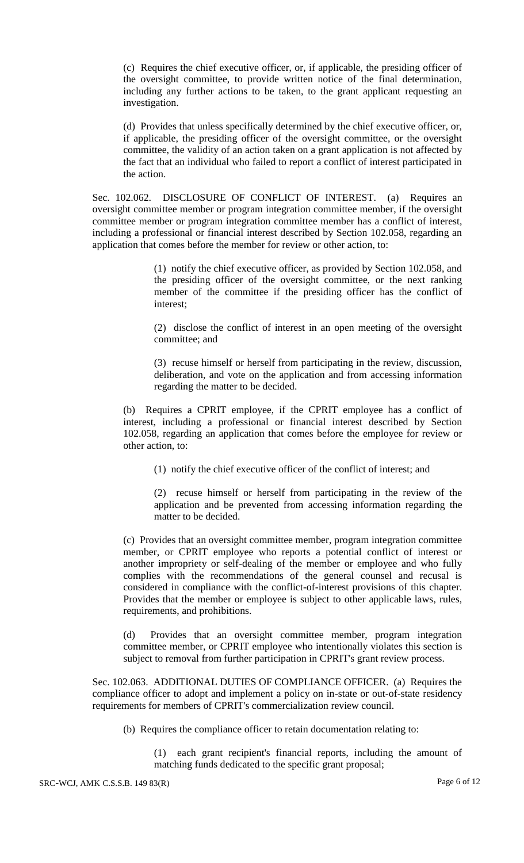(c) Requires the chief executive officer, or, if applicable, the presiding officer of the oversight committee, to provide written notice of the final determination, including any further actions to be taken, to the grant applicant requesting an investigation.

(d) Provides that unless specifically determined by the chief executive officer, or, if applicable, the presiding officer of the oversight committee, or the oversight committee, the validity of an action taken on a grant application is not affected by the fact that an individual who failed to report a conflict of interest participated in the action.

Sec. 102.062. DISCLOSURE OF CONFLICT OF INTEREST. (a) Requires an oversight committee member or program integration committee member, if the oversight committee member or program integration committee member has a conflict of interest, including a professional or financial interest described by Section 102.058, regarding an application that comes before the member for review or other action, to:

> (1) notify the chief executive officer, as provided by Section 102.058, and the presiding officer of the oversight committee, or the next ranking member of the committee if the presiding officer has the conflict of interest;

> (2) disclose the conflict of interest in an open meeting of the oversight committee; and

> (3) recuse himself or herself from participating in the review, discussion, deliberation, and vote on the application and from accessing information regarding the matter to be decided.

(b) Requires a CPRIT employee, if the CPRIT employee has a conflict of interest, including a professional or financial interest described by Section 102.058, regarding an application that comes before the employee for review or other action, to:

(1) notify the chief executive officer of the conflict of interest; and

(2) recuse himself or herself from participating in the review of the application and be prevented from accessing information regarding the matter to be decided.

(c) Provides that an oversight committee member, program integration committee member, or CPRIT employee who reports a potential conflict of interest or another impropriety or self-dealing of the member or employee and who fully complies with the recommendations of the general counsel and recusal is considered in compliance with the conflict-of-interest provisions of this chapter. Provides that the member or employee is subject to other applicable laws, rules, requirements, and prohibitions.

(d) Provides that an oversight committee member, program integration committee member, or CPRIT employee who intentionally violates this section is subject to removal from further participation in CPRIT's grant review process.

Sec. 102.063. ADDITIONAL DUTIES OF COMPLIANCE OFFICER. (a) Requires the compliance officer to adopt and implement a policy on in-state or out-of-state residency requirements for members of CPRIT's commercialization review council.

(b) Requires the compliance officer to retain documentation relating to:

(1) each grant recipient's financial reports, including the amount of matching funds dedicated to the specific grant proposal;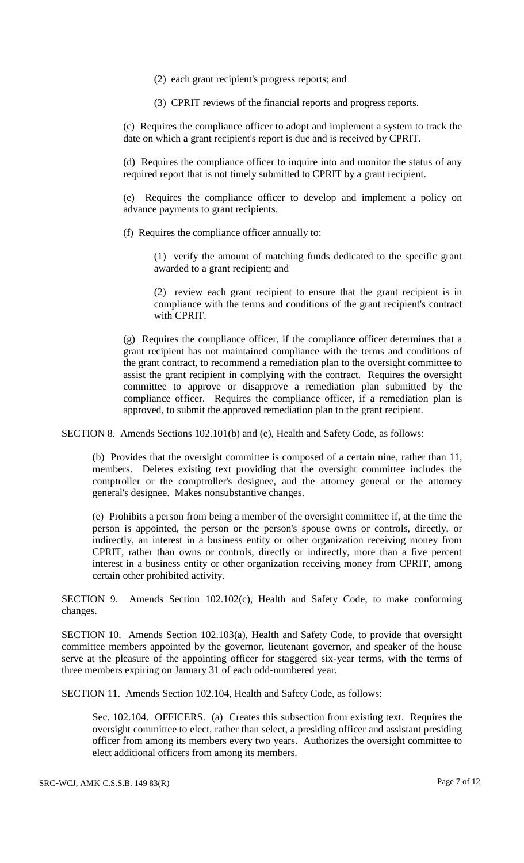- (2) each grant recipient's progress reports; and
- (3) CPRIT reviews of the financial reports and progress reports.

(c) Requires the compliance officer to adopt and implement a system to track the date on which a grant recipient's report is due and is received by CPRIT.

(d) Requires the compliance officer to inquire into and monitor the status of any required report that is not timely submitted to CPRIT by a grant recipient.

(e) Requires the compliance officer to develop and implement a policy on advance payments to grant recipients.

(f) Requires the compliance officer annually to:

(1) verify the amount of matching funds dedicated to the specific grant awarded to a grant recipient; and

(2) review each grant recipient to ensure that the grant recipient is in compliance with the terms and conditions of the grant recipient's contract with CPRIT.

(g) Requires the compliance officer, if the compliance officer determines that a grant recipient has not maintained compliance with the terms and conditions of the grant contract, to recommend a remediation plan to the oversight committee to assist the grant recipient in complying with the contract. Requires the oversight committee to approve or disapprove a remediation plan submitted by the compliance officer. Requires the compliance officer, if a remediation plan is approved, to submit the approved remediation plan to the grant recipient.

SECTION 8. Amends Sections 102.101(b) and (e), Health and Safety Code, as follows:

(b) Provides that the oversight committee is composed of a certain nine, rather than 11, members. Deletes existing text providing that the oversight committee includes the comptroller or the comptroller's designee, and the attorney general or the attorney general's designee. Makes nonsubstantive changes.

(e) Prohibits a person from being a member of the oversight committee if, at the time the person is appointed, the person or the person's spouse owns or controls, directly, or indirectly, an interest in a business entity or other organization receiving money from CPRIT, rather than owns or controls, directly or indirectly, more than a five percent interest in a business entity or other organization receiving money from CPRIT, among certain other prohibited activity.

SECTION 9. Amends Section 102.102(c), Health and Safety Code, to make conforming changes.

SECTION 10. Amends Section 102.103(a), Health and Safety Code, to provide that oversight committee members appointed by the governor, lieutenant governor, and speaker of the house serve at the pleasure of the appointing officer for staggered six-year terms, with the terms of three members expiring on January 31 of each odd-numbered year.

SECTION 11. Amends Section 102.104, Health and Safety Code, as follows:

Sec. 102.104. OFFICERS. (a) Creates this subsection from existing text. Requires the oversight committee to elect, rather than select, a presiding officer and assistant presiding officer from among its members every two years. Authorizes the oversight committee to elect additional officers from among its members.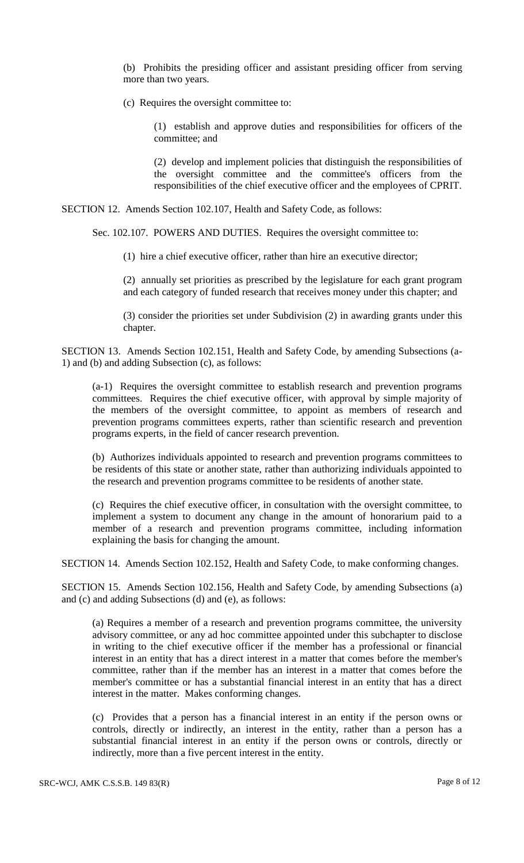(b) Prohibits the presiding officer and assistant presiding officer from serving more than two years.

(c) Requires the oversight committee to:

(1) establish and approve duties and responsibilities for officers of the committee; and

(2) develop and implement policies that distinguish the responsibilities of the oversight committee and the committee's officers from the responsibilities of the chief executive officer and the employees of CPRIT.

SECTION 12. Amends Section 102.107, Health and Safety Code, as follows:

Sec. 102.107. POWERS AND DUTIES. Requires the oversight committee to:

(1) hire a chief executive officer, rather than hire an executive director;

(2) annually set priorities as prescribed by the legislature for each grant program and each category of funded research that receives money under this chapter; and

(3) consider the priorities set under Subdivision (2) in awarding grants under this chapter.

SECTION 13. Amends Section 102.151, Health and Safety Code, by amending Subsections (a-1) and (b) and adding Subsection (c), as follows:

(a-1) Requires the oversight committee to establish research and prevention programs committees. Requires the chief executive officer, with approval by simple majority of the members of the oversight committee, to appoint as members of research and prevention programs committees experts, rather than scientific research and prevention programs experts, in the field of cancer research prevention.

(b) Authorizes individuals appointed to research and prevention programs committees to be residents of this state or another state, rather than authorizing individuals appointed to the research and prevention programs committee to be residents of another state.

(c) Requires the chief executive officer, in consultation with the oversight committee, to implement a system to document any change in the amount of honorarium paid to a member of a research and prevention programs committee, including information explaining the basis for changing the amount.

SECTION 14. Amends Section 102.152, Health and Safety Code, to make conforming changes.

SECTION 15. Amends Section 102.156, Health and Safety Code, by amending Subsections (a) and (c) and adding Subsections (d) and (e), as follows:

(a) Requires a member of a research and prevention programs committee, the university advisory committee, or any ad hoc committee appointed under this subchapter to disclose in writing to the chief executive officer if the member has a professional or financial interest in an entity that has a direct interest in a matter that comes before the member's committee, rather than if the member has an interest in a matter that comes before the member's committee or has a substantial financial interest in an entity that has a direct interest in the matter. Makes conforming changes.

(c) Provides that a person has a financial interest in an entity if the person owns or controls, directly or indirectly, an interest in the entity, rather than a person has a substantial financial interest in an entity if the person owns or controls, directly or indirectly, more than a five percent interest in the entity.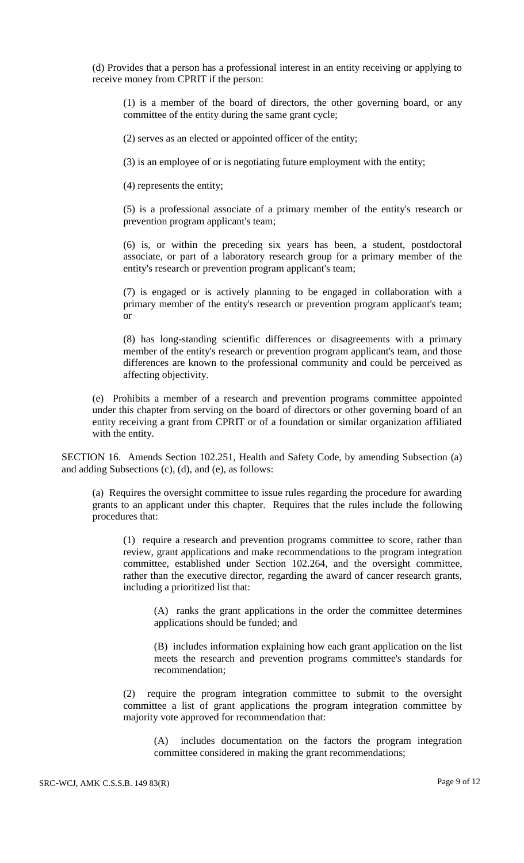(d) Provides that a person has a professional interest in an entity receiving or applying to receive money from CPRIT if the person:

(1) is a member of the board of directors, the other governing board, or any committee of the entity during the same grant cycle;

(2) serves as an elected or appointed officer of the entity;

(3) is an employee of or is negotiating future employment with the entity;

(4) represents the entity;

(5) is a professional associate of a primary member of the entity's research or prevention program applicant's team;

(6) is, or within the preceding six years has been, a student, postdoctoral associate, or part of a laboratory research group for a primary member of the entity's research or prevention program applicant's team;

(7) is engaged or is actively planning to be engaged in collaboration with a primary member of the entity's research or prevention program applicant's team; or

(8) has long-standing scientific differences or disagreements with a primary member of the entity's research or prevention program applicant's team, and those differences are known to the professional community and could be perceived as affecting objectivity.

(e) Prohibits a member of a research and prevention programs committee appointed under this chapter from serving on the board of directors or other governing board of an entity receiving a grant from CPRIT or of a foundation or similar organization affiliated with the entity.

SECTION 16. Amends Section 102.251, Health and Safety Code, by amending Subsection (a) and adding Subsections (c), (d), and (e), as follows:

(a) Requires the oversight committee to issue rules regarding the procedure for awarding grants to an applicant under this chapter. Requires that the rules include the following procedures that:

(1) require a research and prevention programs committee to score, rather than review, grant applications and make recommendations to the program integration committee, established under Section 102.264, and the oversight committee, rather than the executive director, regarding the award of cancer research grants, including a prioritized list that:

(A) ranks the grant applications in the order the committee determines applications should be funded; and

(B) includes information explaining how each grant application on the list meets the research and prevention programs committee's standards for recommendation;

(2) require the program integration committee to submit to the oversight committee a list of grant applications the program integration committee by majority vote approved for recommendation that:

(A) includes documentation on the factors the program integration committee considered in making the grant recommendations;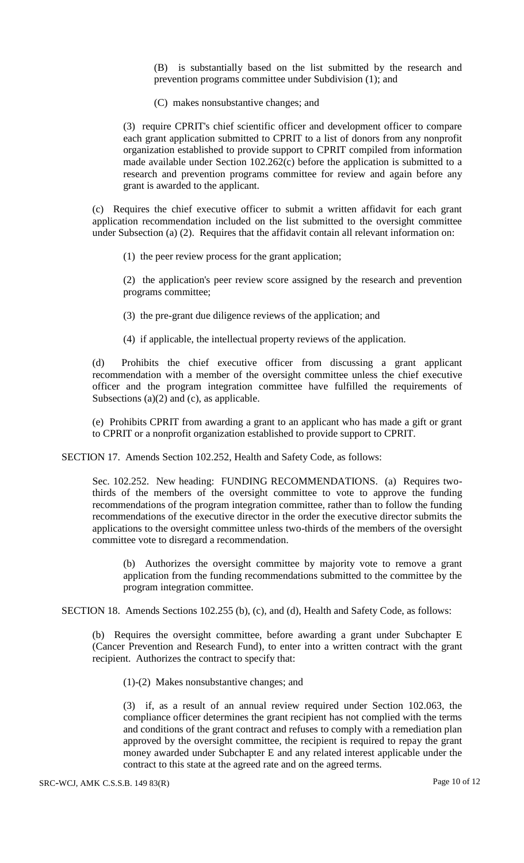(B) is substantially based on the list submitted by the research and prevention programs committee under Subdivision (1); and

(C) makes nonsubstantive changes; and

(3) require CPRIT's chief scientific officer and development officer to compare each grant application submitted to CPRIT to a list of donors from any nonprofit organization established to provide support to CPRIT compiled from information made available under Section 102.262(c) before the application is submitted to a research and prevention programs committee for review and again before any grant is awarded to the applicant.

(c) Requires the chief executive officer to submit a written affidavit for each grant application recommendation included on the list submitted to the oversight committee under Subsection (a) (2). Requires that the affidavit contain all relevant information on:

(1) the peer review process for the grant application;

(2) the application's peer review score assigned by the research and prevention programs committee;

- (3) the pre-grant due diligence reviews of the application; and
- (4) if applicable, the intellectual property reviews of the application.

(d) Prohibits the chief executive officer from discussing a grant applicant recommendation with a member of the oversight committee unless the chief executive officer and the program integration committee have fulfilled the requirements of Subsections  $(a)(2)$  and  $(c)$ , as applicable.

(e) Prohibits CPRIT from awarding a grant to an applicant who has made a gift or grant to CPRIT or a nonprofit organization established to provide support to CPRIT.

SECTION 17. Amends Section 102.252, Health and Safety Code, as follows:

Sec. 102.252. New heading: FUNDING RECOMMENDATIONS. (a) Requires twothirds of the members of the oversight committee to vote to approve the funding recommendations of the program integration committee, rather than to follow the funding recommendations of the executive director in the order the executive director submits the applications to the oversight committee unless two-thirds of the members of the oversight committee vote to disregard a recommendation.

(b) Authorizes the oversight committee by majority vote to remove a grant application from the funding recommendations submitted to the committee by the program integration committee.

SECTION 18. Amends Sections 102.255 (b), (c), and (d), Health and Safety Code, as follows:

(b) Requires the oversight committee, before awarding a grant under Subchapter E (Cancer Prevention and Research Fund), to enter into a written contract with the grant recipient. Authorizes the contract to specify that:

(1)-(2) Makes nonsubstantive changes; and

(3) if, as a result of an annual review required under Section 102.063, the compliance officer determines the grant recipient has not complied with the terms and conditions of the grant contract and refuses to comply with a remediation plan approved by the oversight committee, the recipient is required to repay the grant money awarded under Subchapter E and any related interest applicable under the contract to this state at the agreed rate and on the agreed terms.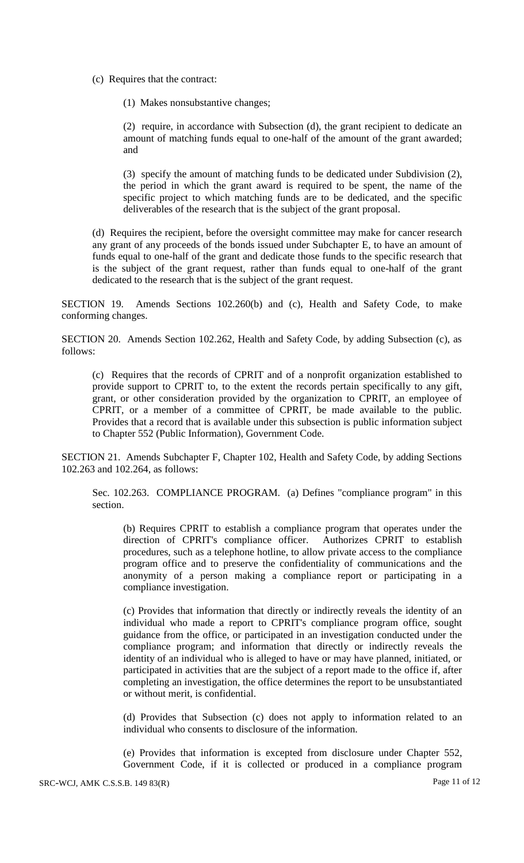(c) Requires that the contract:

(1) Makes nonsubstantive changes;

(2) require, in accordance with Subsection (d), the grant recipient to dedicate an amount of matching funds equal to one-half of the amount of the grant awarded; and

(3) specify the amount of matching funds to be dedicated under Subdivision (2), the period in which the grant award is required to be spent, the name of the specific project to which matching funds are to be dedicated, and the specific deliverables of the research that is the subject of the grant proposal.

(d) Requires the recipient, before the oversight committee may make for cancer research any grant of any proceeds of the bonds issued under Subchapter E, to have an amount of funds equal to one-half of the grant and dedicate those funds to the specific research that is the subject of the grant request, rather than funds equal to one-half of the grant dedicated to the research that is the subject of the grant request.

SECTION 19. Amends Sections 102.260(b) and (c), Health and Safety Code, to make conforming changes.

SECTION 20. Amends Section 102.262, Health and Safety Code, by adding Subsection (c), as follows:

(c) Requires that the records of CPRIT and of a nonprofit organization established to provide support to CPRIT to, to the extent the records pertain specifically to any gift, grant, or other consideration provided by the organization to CPRIT, an employee of CPRIT, or a member of a committee of CPRIT, be made available to the public. Provides that a record that is available under this subsection is public information subject to Chapter 552 (Public Information), Government Code.

SECTION 21. Amends Subchapter F, Chapter 102, Health and Safety Code, by adding Sections 102.263 and 102.264, as follows:

Sec. 102.263. COMPLIANCE PROGRAM. (a) Defines "compliance program" in this section.

(b) Requires CPRIT to establish a compliance program that operates under the direction of CPRIT's compliance officer. Authorizes CPRIT to establish procedures, such as a telephone hotline, to allow private access to the compliance program office and to preserve the confidentiality of communications and the anonymity of a person making a compliance report or participating in a compliance investigation.

(c) Provides that information that directly or indirectly reveals the identity of an individual who made a report to CPRIT's compliance program office, sought guidance from the office, or participated in an investigation conducted under the compliance program; and information that directly or indirectly reveals the identity of an individual who is alleged to have or may have planned, initiated, or participated in activities that are the subject of a report made to the office if, after completing an investigation, the office determines the report to be unsubstantiated or without merit, is confidential.

(d) Provides that Subsection (c) does not apply to information related to an individual who consents to disclosure of the information.

(e) Provides that information is excepted from disclosure under Chapter 552, Government Code, if it is collected or produced in a compliance program